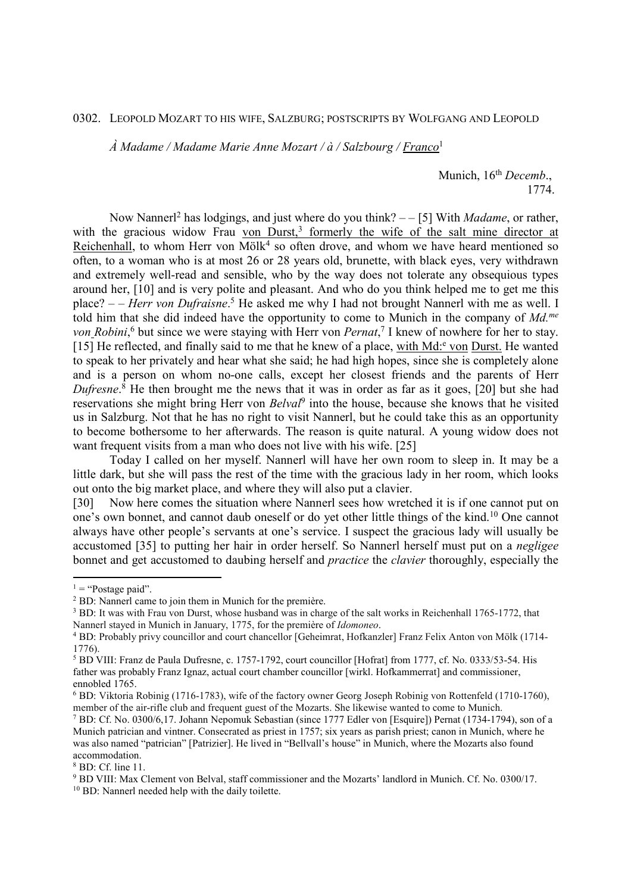## 0302. LEOPOLD MOZART TO HIS WIFE, SALZBURG; POSTSCRIPTS BY WOLFGANG AND LEOPOLD

*À Madame / Madame Marie Anne Mozart / à / Salzbourg / Franco*<sup>1</sup>

Munich,  $16<sup>th</sup> Decemb.$ 1774.

Now Nanner<sup>[2</sup> has lodgings, and just where do you think? --[5] With *Madame*, or rather, with the gracious widow Frau von Durst,<sup>3</sup> formerly the wife of the salt mine director at Reichenhall, to whom Herr von Mölk<sup>4</sup> so often drove, and whom we have heard mentioned so often, to a woman who is at most 26 or 28 years old, brunette, with black eyes, very withdrawn and extremely well-read and sensible, who by the way does not tolerate any obsequious types around her, [10] and is very polite and pleasant. And who do you think helped me to get me this place? - - *Herr von Dufraisne*.<sup>5</sup> He asked me why I had not brought Nannerl with me as well. I told him that she did indeed have the opportunity to come to Munich in the company of *Md.me* von *Robini*,<sup>6</sup> but since we were staying with Herr von *Pernat*,<sup>7</sup> I knew of nowhere for her to stay. [15] He reflected, and finally said to me that he knew of a place, with Md:<sup>e</sup> von Durst. He wanted to speak to her privately and hear what she said; he had high hopes, since she is completely alone and is a person on whom no-one calls, except her closest friends and the parents of Herr *Dufresne*. 8 He then brought me the news that it was in order as far as it goes, [20] but she had reservations she might bring Herr von *Belval*<sup>9</sup> into the house, because she knows that he visited us in Salzburg. Not that he has no right to visit Nannerl, but he could take this as an opportunity to become bothersome to her afterwards. The reason is quite natural. A young widow does not want frequent visits from a man who does not live with his wife. [25]

 Today I called on her myself. Nannerl will have her own room to sleep in. It may be a little dark, but she will pass the rest of the time with the gracious lady in her room, which looks out onto the big market place, and where they will also put a clavier.

[30] Now here comes the situation where Nannerl sees how wretched it is if one cannot put on one's own bonnet, and cannot daub oneself or do yet other little things of the kind.<sup>10</sup> One cannot always have other people's servants at one's service. I suspect the gracious lady will usually be accustomed [35] to putting her hair in order herself. So Nannerl herself must put on a *negligee* bonnet and get accustomed to daubing herself and *practice* the *clavier* thoroughly, especially the

-

8 BD: Cf. line 11.

 $1 =$  "Postage paid".

<sup>&</sup>lt;sup>2</sup> BD: Nannerl came to join them in Munich for the première.

<sup>&</sup>lt;sup>3</sup> BD: It was with Frau von Durst, whose husband was in charge of the salt works in Reichenhall 1765-1772, that Nannerl stayed in Munich in January, 1775, for the première of *Idomoneo*.

<sup>4</sup> BD: Probably privy councillor and court chancellor [Geheimrat, Hofkanzler] Franz Felix Anton von Mölk (1714- 1776).

<sup>&</sup>lt;sup>5</sup> BD VIII: Franz de Paula Dufresne, c. 1757-1792, court councillor [Hofrat] from 1777, cf. No. 0333/53-54. His father was probably Franz Ignaz, actual court chamber councillor [wirkl. Hofkammerrat] and commissioner, ennobled 1765.

<sup>6</sup> BD: Viktoria Robinig (1716-1783), wife of the factory owner Georg Joseph Robinig von Rottenfeld (1710-1760), member of the air-rifle club and frequent guest of the Mozarts. She likewise wanted to come to Munich.

<sup>&</sup>lt;sup>7</sup> BD: Cf. No. 0300/6,17. Johann Nepomuk Sebastian (since 1777 Edler von [Esquire]) Pernat (1734-1794), son of a Munich patrician and vintner. Consecrated as priest in 1757; six years as parish priest; canon in Munich, where he was also named "patrician" [Patrizier]. He lived in "Bellvall's house" in Munich, where the Mozarts also found accommodation.

<sup>9</sup> BD VIII: Max Clement von Belval, staff commissioner and the Mozarts' landlord in Munich. Cf. No. 0300/17. <sup>10</sup> BD: Nannerl needed help with the daily toilette.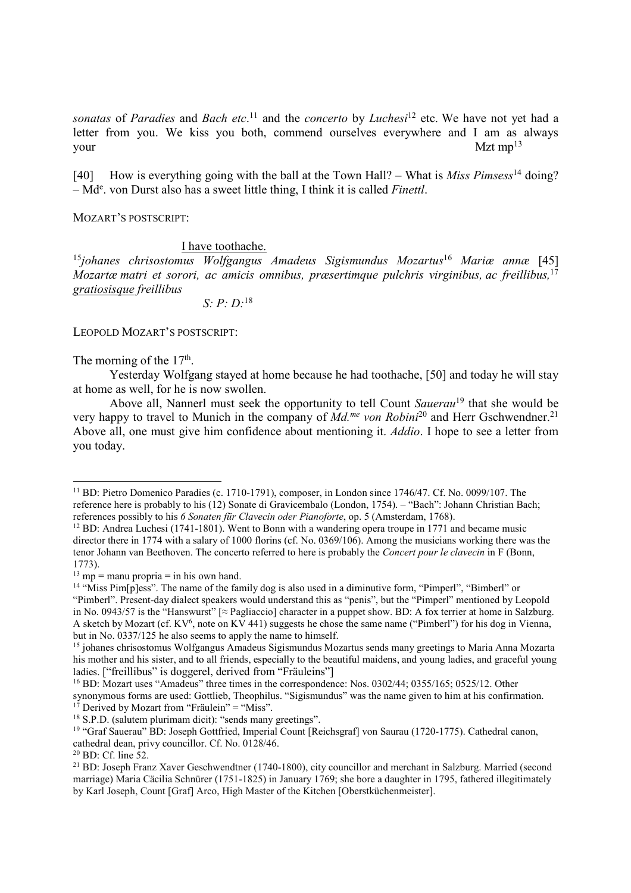*sonatas* of *Paradies* and *Bach etc*. <sup>11</sup> and the *concerto* by *Luchesi*<sup>12</sup> etc. We have not yet had a letter from you. We kiss you both, commend ourselves everywhere and I am as always your Mzt mp<sup>13</sup>

[40] How is everything going with the ball at the Town Hall? – What is *Miss Pimsess*<sup>14</sup> doing? – Md<sup>e</sup> . von Durst also has a sweet little thing, I think it is called *Finettl*.

MOZART'S POSTSCRIPT:

## I have toothache.

<sup>15</sup>*johanes chrisostomus Wolfgangus Amadeus Sigismundus Mozartus*<sup>16</sup> *Mariæ annæ* [45] *Mozartæ matri et sorori, ac amicis omnibus, præsertimque pulchris virginibus, ac freillibus,*<sup>17</sup> *gratiosisque freillibus* 

 *S: P: D:*<sup>18</sup>

LEOPOLD MOZART'S POSTSCRIPT:

The morning of the  $17<sup>th</sup>$ .

-

 Yesterday Wolfgang stayed at home because he had toothache, [50] and today he will stay at home as well, for he is now swollen.

 Above all, Nannerl must seek the opportunity to tell Count *Sauerau*<sup>19</sup> that she would be very happy to travel to Munich in the company of *Md.me von Robini*<sup>20</sup> and Herr Gschwendner.<sup>21</sup> Above all, one must give him confidence about mentioning it. *Addio*. I hope to see a letter from you today.

<sup>&</sup>lt;sup>11</sup> BD: Pietro Domenico Paradies (c. 1710-1791), composer, in London since 1746/47. Cf. No. 0099/107. The reference here is probably to his (12) Sonate di Gravicembalo (London, 1754). – "Bach": Johann Christian Bach; references possibly to his *6 Sonaten für Clavecin oder Pianoforte*, op. 5 (Amsterdam, 1768).

<sup>&</sup>lt;sup>12</sup> BD: Andrea Luchesi (1741-1801). Went to Bonn with a wandering opera troupe in 1771 and became music director there in 1774 with a salary of 1000 florins (cf. No. 0369/106). Among the musicians working there was the tenor Johann van Beethoven. The concerto referred to here is probably the *Concert pour le clavecin* in F (Bonn, 1773).

 $13 \text{ mp} = \text{manu propria} = \text{in his own hand.}$ 

<sup>&</sup>lt;sup>14</sup> "Miss Pim[p]ess". The name of the family dog is also used in a diminutive form, "Pimperl", "Bimberl" or "Pimberl". Present-day dialect speakers would understand this as "penis", but the "Pimperl" mentioned by Leopold in No. 0943/57 is the "Hanswurst" [≈ Pagliaccio] character in a puppet show. BD: A fox terrier at home in Salzburg. A sketch by Mozart (cf.  $KV^6$ , note on  $KV$  441) suggests he chose the same name ("Pimberl") for his dog in Vienna, but in No. 0337/125 he also seems to apply the name to himself.

<sup>15</sup> johanes chrisostomus Wolfgangus Amadeus Sigismundus Mozartus sends many greetings to Maria Anna Mozarta his mother and his sister, and to all friends, especially to the beautiful maidens, and young ladies, and graceful young ladies. ["freillibus" is doggerel, derived from "Fräuleins"]

<sup>&</sup>lt;sup>16</sup> BD: Mozart uses "Amadeus" three times in the correspondence: Nos. 0302/44; 0355/165; 0525/12. Other synonymous forms are used: Gottlieb, Theophilus. "Sigismundus" was the name given to him at his confirmation.  $17$  Derived by Mozart from "Fräulein" = "Miss".

<sup>18</sup> S.P.D. (salutem plurimam dicit): "sends many greetings".

<sup>&</sup>lt;sup>19</sup> "Graf Sauerau" BD: Joseph Gottfried, Imperial Count [Reichsgraf] von Saurau (1720-1775). Cathedral canon, cathedral dean, privy councillor. Cf. No. 0128/46.

<sup>20</sup> BD: Cf. line 52.

<sup>&</sup>lt;sup>21</sup> BD: Joseph Franz Xaver Geschwendtner (1740-1800), city councillor and merchant in Salzburg. Married (second marriage) Maria Cäcilia Schnürer (1751-1825) in January 1769; she bore a daughter in 1795, fathered illegitimately by Karl Joseph, Count [Graf] Arco, High Master of the Kitchen [Oberstküchenmeister].